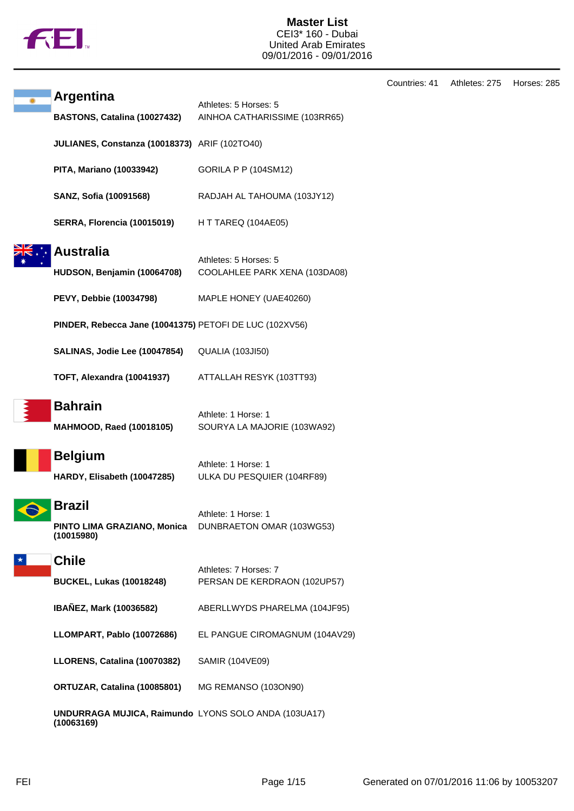

## **Master List** CEI3\* 160 - Dubai United Arab Emirates 09/01/2016 - 09/01/2016

|                                                                    |                                                        | Countries: 41 | Athletes: 275 | Horses: 285 |
|--------------------------------------------------------------------|--------------------------------------------------------|---------------|---------------|-------------|
| <b>Argentina</b><br>BASTONS, Catalina (10027432)                   | Athletes: 5 Horses: 5<br>AINHOA CATHARISSIME (103RR65) |               |               |             |
| JULIANES, Constanza (10018373) ARIF (102TO40)                      |                                                        |               |               |             |
| PITA, Mariano (10033942)                                           | <b>GORILA P P (104SM12)</b>                            |               |               |             |
| SANZ, Sofia (10091568)                                             | RADJAH AL TAHOUMA (103JY12)                            |               |               |             |
| <b>SERRA, Florencia (10015019)</b>                                 | H T TAREQ (104AE05)                                    |               |               |             |
| <b>Australia</b><br>HUDSON, Benjamin (10064708)                    | Athletes: 5 Horses: 5<br>COOLAHLEE PARK XENA (103DA08) |               |               |             |
| PEVY, Debbie (10034798)                                            | MAPLE HONEY (UAE40260)                                 |               |               |             |
| PINDER, Rebecca Jane (10041375) PETOFI DE LUC (102XV56)            |                                                        |               |               |             |
| SALINAS, Jodie Lee (10047854)                                      | <b>QUALIA (103JI50)</b>                                |               |               |             |
| <b>TOFT, Alexandra (10041937)</b>                                  | ATTALLAH RESYK (103TT93)                               |               |               |             |
| <b>Bahrain</b><br><b>MAHMOOD, Raed (10018105)</b>                  | Athlete: 1 Horse: 1<br>SOURYA LA MAJORIE (103WA92)     |               |               |             |
| <b>Belgium</b><br>HARDY, Elisabeth (10047285)                      | Athlete: 1 Horse: 1<br>ULKA DU PESQUIER (104RF89)      |               |               |             |
| <b>Brazil</b><br>PINTO LIMA GRAZIANO, Monica<br>(10015980)         | Athlete: 1 Horse: 1<br>DUNBRAETON OMAR (103WG53)       |               |               |             |
| <b>Chile</b><br><b>BUCKEL, Lukas (10018248)</b>                    | Athletes: 7 Horses: 7<br>PERSAN DE KERDRAON (102UP57)  |               |               |             |
| IBAÑEZ, Mark (10036582)                                            | ABERLLWYDS PHARELMA (104JF95)                          |               |               |             |
| LLOMPART, Pablo (10072686)                                         | EL PANGUE CIROMAGNUM (104AV29)                         |               |               |             |
| LLORENS, Catalina (10070382)                                       | SAMIR (104VE09)                                        |               |               |             |
| ORTUZAR, Catalina (10085801)                                       | MG REMANSO (103ON90)                                   |               |               |             |
| UNDURRAGA MUJICA, Raimundo LYONS SOLO ANDA (103UA17)<br>(10063169) |                                                        |               |               |             |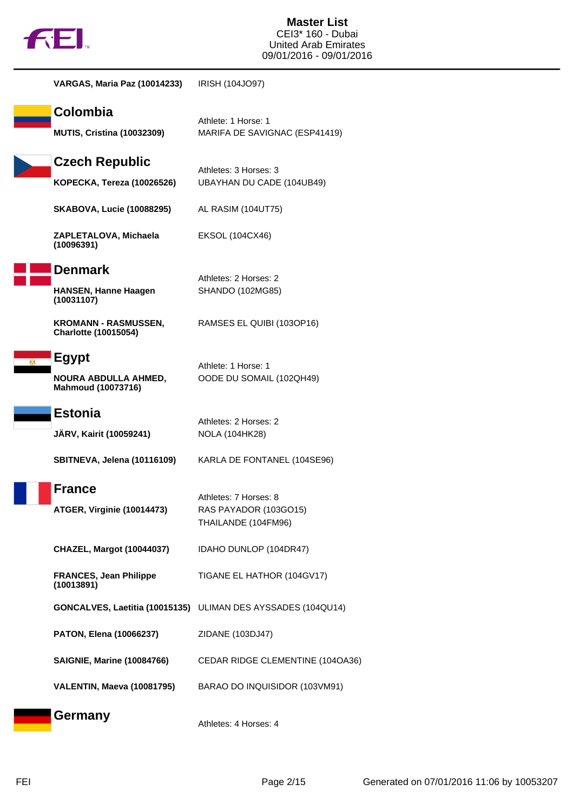

| <b>VARGAS, Maria Paz (10014233)</b>                         | IRISH (104JO97)                                                       |
|-------------------------------------------------------------|-----------------------------------------------------------------------|
| Colombia<br><b>MUTIS, Cristina (10032309)</b>               | Athlete: 1 Horse: 1<br>MARIFA DE SAVIGNAC (ESP41419)                  |
| <b>Czech Republic</b><br><b>KOPECKA, Tereza (10026526)</b>  | Athletes: 3 Horses: 3<br>UBAYHAN DU CADE (104UB49)                    |
| <b>SKABOVA, Lucie (10088295)</b>                            | AL RASIM (104UT75)                                                    |
| ZAPLETALOVA, Michaela<br>(10096391)                         | EKSOL (104CX46)                                                       |
| <b>Denmark</b><br><b>HANSEN, Hanne Haagen</b><br>(10031107) | Athletes: 2 Horses: 2<br>SHANDO (102MG85)                             |
| <b>KROMANN - RASMUSSEN,</b><br><b>Charlotte (10015054)</b>  | RAMSES EL QUIBI (103OP16)                                             |
| Egypt<br><b>NOURA ABDULLA AHMED,</b><br>Mahmoud (10073716)  | Athlete: 1 Horse: 1<br>OODE DU SOMAIL (102QH49)                       |
| <b>Estonia</b>                                              | Athletes: 2 Horses: 2                                                 |
| JÄRV, Kairit (10059241)                                     | <b>NOLA (104HK28)</b>                                                 |
| SBITNEVA, Jelena (10116109)                                 | KARLA DE FONTANEL (104SE96)                                           |
| France<br>ATGER, Virginie (10014473)                        | Athletes: 7 Horses: 8<br>RAS PAYADOR (103GO15)<br>THAILANDE (104FM96) |
| <b>CHAZEL, Margot (10044037)</b>                            | IDAHO DUNLOP (104DR47)                                                |
| <b>FRANCES, Jean Philippe</b><br>(10013891)                 | TIGANE EL HATHOR (104GV17)                                            |
|                                                             | GONCALVES, Laetitia (10015135) ULIMAN DES AYSSADES (104QU14)          |
| PATON, Elena (10066237)                                     | ZIDANE (103DJ47)                                                      |
| <b>SAIGNIE, Marine (10084766)</b>                           | CEDAR RIDGE CLEMENTINE (104OA36)                                      |
| VALENTIN, Maeva (10081795)                                  | BARAO DO INQUISIDOR (103VM91)                                         |
| <b>Germany</b>                                              | Athletes: 4 Horses: 4                                                 |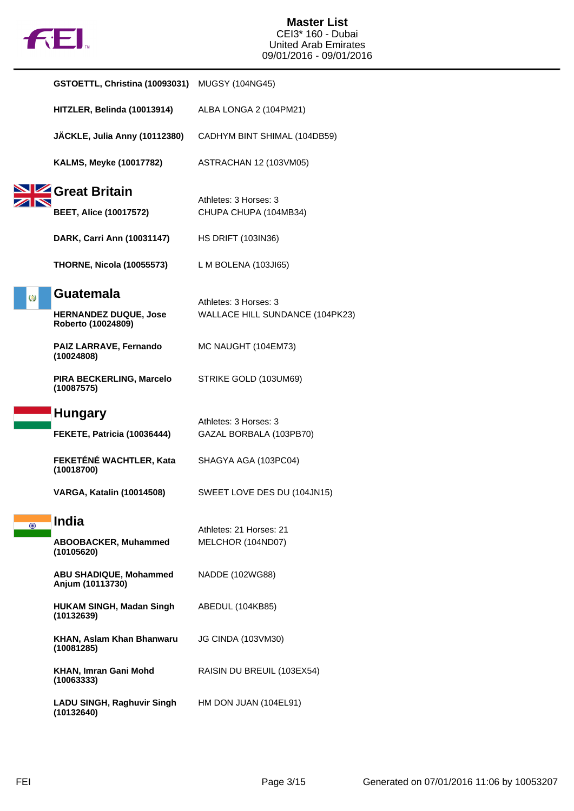

|         | GSTOETTL, Christina (10093031)                                         | <b>MUGSY (104NG45)</b>                                   |
|---------|------------------------------------------------------------------------|----------------------------------------------------------|
|         | HITZLER, Belinda (10013914)                                            | ALBA LONGA 2 (104PM21)                                   |
|         | JÄCKLE, Julia Anny (10112380)                                          | CADHYM BINT SHIMAL (104DB59)                             |
|         | <b>KALMS, Meyke (10017782)</b>                                         | ASTRACHAN 12 (103VM05)                                   |
|         | <b>SIZE</b> Great Britain<br><b>BEET, Alice (10017572)</b>             | Athletes: 3 Horses: 3<br>CHUPA CHUPA (104MB34)           |
|         | DARK, Carri Ann (10031147)                                             | <b>HS DRIFT (103IN36)</b>                                |
|         | <b>THORNE, Nicola (10055573)</b>                                       | L M BOLENA $(103J165)$                                   |
| Ø       | <b>Guatemala</b><br><b>HERNANDEZ DUQUE, Jose</b><br>Roberto (10024809) | Athletes: 3 Horses: 3<br>WALLACE HILL SUNDANCE (104PK23) |
|         | PAIZ LARRAVE, Fernando<br>(10024808)                                   | MC NAUGHT (104EM73)                                      |
|         | PIRA BECKERLING, Marcelo<br>(10087575)                                 | STRIKE GOLD (103UM69)                                    |
|         | <b>Hungary</b>                                                         | Athletes: 3 Horses: 3                                    |
|         | FEKETE, Patricia (10036444)                                            | GAZAL BORBALA (103PB70)                                  |
|         | FEKETÉNÉ WACHTLER, Kata<br>(10018700)                                  | SHAGYA AGA (103PC04)                                     |
|         | <b>VARGA, Katalin (10014508)</b>                                       | SWEET LOVE DES DU (104JN15)                              |
| $\odot$ | <b>India</b><br><b>ABOOBACKER, Muhammed</b><br>(10105620)              | Athletes: 21 Horses: 21<br>MELCHOR (104ND07)             |
|         | <b>ABU SHADIQUE, Mohammed</b><br>Anjum (10113730)                      | NADDE (102WG88)                                          |
|         | <b>HUKAM SINGH, Madan Singh</b><br>(10132639)                          | ABEDUL (104KB85)                                         |
|         | KHAN, Aslam Khan Bhanwaru<br>(10081285)                                | <b>JG CINDA (103VM30)</b>                                |
|         | KHAN, Imran Gani Mohd<br>(10063333)                                    | RAISIN DU BREUIL (103EX54)                               |
|         | <b>LADU SINGH, Raghuvir Singh</b><br>(10132640)                        | HM DON JUAN (104EL91)                                    |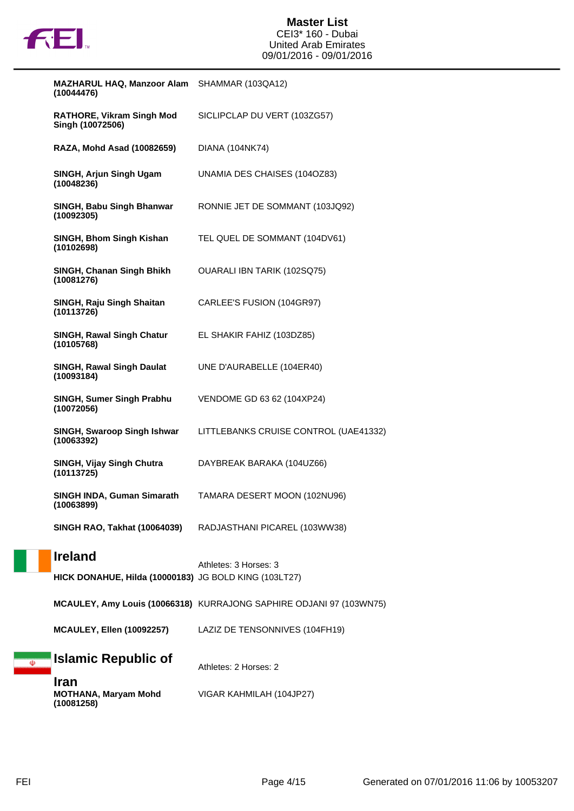

| <b>MAZHARUL HAQ, Manzoor Alam</b><br>(10044476)                         | SHAMMAR (103QA12)                                                   |
|-------------------------------------------------------------------------|---------------------------------------------------------------------|
| <b>RATHORE, Vikram Singh Mod</b><br>Singh (10072506)                    | SICLIPCLAP DU VERT (103ZG57)                                        |
| RAZA, Mohd Asad (10082659)                                              | DIANA (104NK74)                                                     |
| SINGH, Arjun Singh Ugam<br>(10048236)                                   | UNAMIA DES CHAISES (104OZ83)                                        |
| SINGH, Babu Singh Bhanwar<br>(10092305)                                 | RONNIE JET DE SOMMANT (103JQ92)                                     |
| SINGH, Bhom Singh Kishan<br>(10102698)                                  | TEL QUEL DE SOMMANT (104DV61)                                       |
| SINGH, Chanan Singh Bhikh<br>(10081276)                                 | OUARALI IBN TARIK (102SQ75)                                         |
| SINGH, Raju Singh Shaitan<br>(10113726)                                 | CARLEE'S FUSION (104GR97)                                           |
| <b>SINGH, Rawal Singh Chatur</b><br>(10105768)                          | EL SHAKIR FAHIZ (103DZ85)                                           |
| <b>SINGH, Rawal Singh Daulat</b><br>(10093184)                          | UNE D'AURABELLE (104ER40)                                           |
| SINGH, Sumer Singh Prabhu<br>(10072056)                                 | VENDOME GD 63 62 (104XP24)                                          |
| SINGH, Swaroop Singh Ishwar<br>(10063392)                               | LITTLEBANKS CRUISE CONTROL (UAE41332)                               |
| SINGH, Vijay Singh Chutra<br>(10113725)                                 | DAYBREAK BARAKA (104UZ66)                                           |
| <b>SINGH INDA, Guman Simarath</b><br>(10063899)                         | TAMARA DESERT MOON (102NU96)                                        |
| <b>SINGH RAO, Takhat (10064039)</b>                                     | RADJASTHANI PICAREL (103WW38)                                       |
| <b>Ireland</b><br>HICK DONAHUE, Hilda (10000183) JG BOLD KING (103LT27) | Athletes: 3 Horses: 3                                               |
|                                                                         | MCAULEY, Amy Louis (10066318) KURRAJONG SAPHIRE ODJANI 97 (103WN75) |
| <b>MCAULEY, Ellen (10092257)</b>                                        | LAZIZ DE TENSONNIVES (104FH19)                                      |
| Islamic Republic of                                                     | Athletes: 2 Horses: 2                                               |
| <b>Iran</b><br><b>MOTHANA, Maryam Mohd</b><br>(10081258)                | VIGAR KAHMILAH (104JP27)                                            |

 $\overline{\mathbb{Q}}$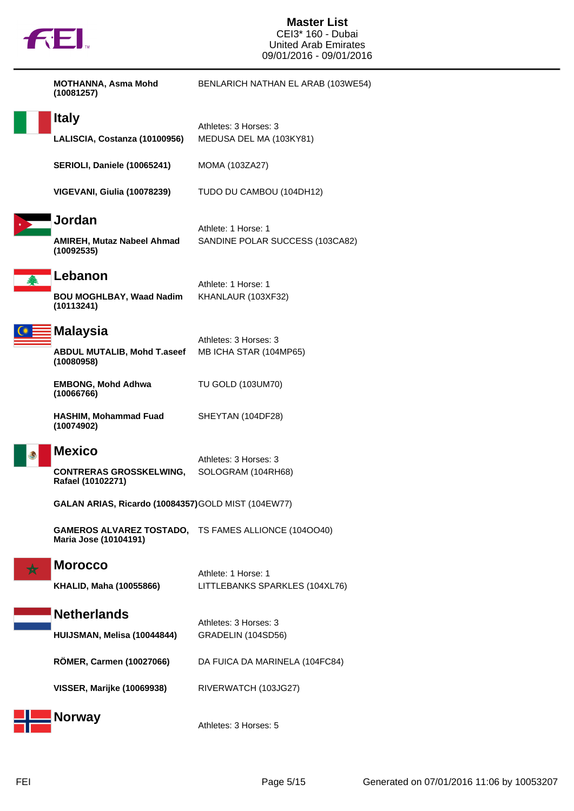

## **Master List** CEI3\* 160 - Dubai United Arab Emirates 09/01/2016 - 09/01/2016

| <b>MOTHANNA, Asma Mohd</b><br>(10081257)                             | BENLARICH NATHAN EL ARAB (103WE54)                          |
|----------------------------------------------------------------------|-------------------------------------------------------------|
| <b>Italy</b><br>LALISCIA, Costanza (10100956)                        | Athletes: 3 Horses: 3<br>MEDUSA DEL MA (103KY81)            |
| SERIOLI, Daniele (10065241)                                          | MOMA (103ZA27)                                              |
| VIGEVANI, Giulia (10078239)                                          | TUDO DU CAMBOU (104DH12)                                    |
| Jordan<br>AMIREH, Mutaz Nabeel Ahmad<br>(10092535)                   | Athlete: 1 Horse: 1<br>SANDINE POLAR SUCCESS (103CA82)      |
| Lebanon<br><b>BOU MOGHLBAY, Waad Nadim</b><br>(10113241)             | Athlete: 1 Horse: 1<br>KHANLAUR (103XF32)                   |
| <b>Malaysia</b><br><b>ABDUL MUTALIB, Mohd T.aseef</b><br>(10080958)  | Athletes: 3 Horses: 3<br>MB ICHA STAR (104MP65)             |
| <b>EMBONG, Mohd Adhwa</b><br>(10066766)                              | <b>TU GOLD (103UM70)</b>                                    |
| <b>HASHIM, Mohammad Fuad</b><br>(10074902)                           | SHEYTAN (104DF28)                                           |
| <b>Mexico</b><br><b>CONTRERAS GROSSKELWING,</b><br>Rafael (10102271) | Athletes: 3 Horses: 3<br>SOLOGRAM (104RH68)                 |
| GALAN ARIAS, Ricardo (10084357) GOLD MIST (104EW77)                  |                                                             |
| Maria Jose (10104191)                                                | <b>GAMEROS ALVAREZ TOSTADO, TS FAMES ALLIONCE (1040040)</b> |
| <b>Morocco</b><br><b>KHALID, Maha (10055866)</b>                     | Athlete: 1 Horse: 1<br>LITTLEBANKS SPARKLES (104XL76)       |
| <b>Netherlands</b>                                                   | Athletes: 3 Horses: 3                                       |
| HUIJSMAN, Melisa (10044844)                                          | GRADELIN (104SD56)                                          |
| <b>RÖMER, Carmen (10027066)</b>                                      | DA FUICA DA MARINELA (104FC84)                              |
| <b>VISSER, Marijke (10069938)</b>                                    | RIVERWATCH (103JG27)                                        |
| <b>Norway</b>                                                        | Athletes: 3 Horses: 5                                       |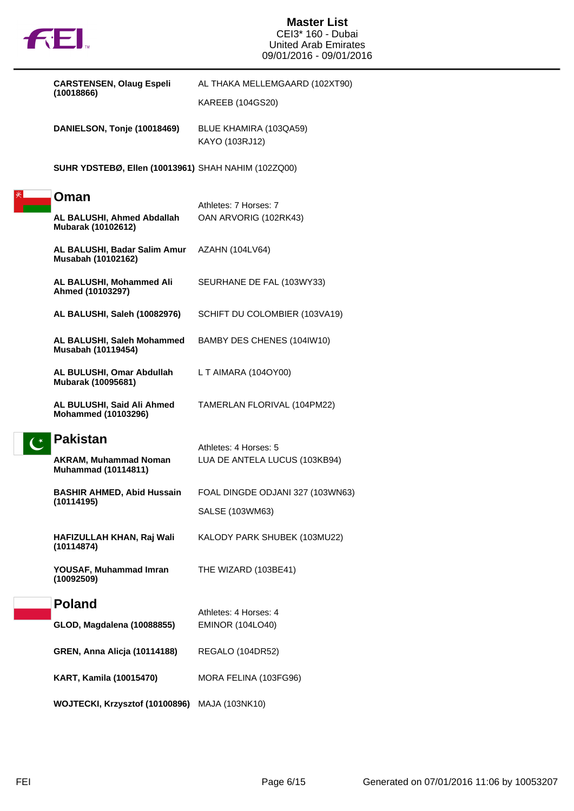

## **Master List** CEI3\* 160 - Dubai United Arab Emirates 09/01/2016 - 09/01/2016

|  | <b>CARSTENSEN, Olaug Espeli</b><br>(10018866)                                 | AL THAKA MELLEMGAARD (102XT90)<br><b>KAREEB (104GS20)</b> |
|--|-------------------------------------------------------------------------------|-----------------------------------------------------------|
|  | DANIELSON, Tonje (10018469)                                                   | BLUE KHAMIRA (103QA59)<br>KAYO (103RJ12)                  |
|  | <b>SUHR YDSTEBØ, Ellen (10013961)</b> SHAH NAHIM (102ZQ00)                    |                                                           |
|  | Oman                                                                          |                                                           |
|  | AL BALUSHI, Ahmed Abdallah<br>Mubarak (10102612)                              | Athletes: 7 Horses: 7<br>OAN ARVORIG (102RK43)            |
|  | AL BALUSHI, Badar Salim Amur<br>Musabah (10102162)                            | AZAHN (104LV64)                                           |
|  | AL BALUSHI, Mohammed Ali<br>Ahmed (10103297)                                  | SEURHANE DE FAL (103WY33)                                 |
|  | AL BALUSHI, Saleh (10082976)                                                  | SCHIFT DU COLOMBIER (103VA19)                             |
|  | AL BALUSHI, Saleh Mohammed<br>Musabah (10119454)                              | BAMBY DES CHENES (104IW10)                                |
|  | AL BULUSHI, Omar Abdullah<br>Mubarak (10095681)                               | L T AIMARA (104OY00)                                      |
|  | AL BULUSHI, Said Ali Ahmed<br><b>Mohammed (10103296)</b>                      | TAMERLAN FLORIVAL (104PM22)                               |
|  | <b>Pakistan</b><br><b>AKRAM, Muhammad Noman</b><br><b>Muhammad (10114811)</b> | Athletes: 4 Horses: 5<br>LUA DE ANTELA LUCUS (103KB94)    |
|  | <b>BASHIR AHMED, Abid Hussain</b><br>(10114195)                               | FOAL DINGDE ODJANI 327 (103WN63)                          |
|  |                                                                               | SALSE (103WM63)                                           |
|  | HAFIZULLAH KHAN, Raj Wali<br>(10114874)                                       | KALODY PARK SHUBEK (103MU22)                              |
|  | YOUSAF, Muhammad Imran<br>(10092509)                                          | THE WIZARD (103BE41)                                      |
|  | <b>Poland</b>                                                                 | Athletes: 4 Horses: 4                                     |
|  | GLOD, Magdalena (10088855)                                                    | <b>EMINOR (104LO40)</b>                                   |
|  | <b>GREN, Anna Alicja (10114188)</b>                                           | REGALO (104DR52)                                          |
|  | <b>KART, Kamila (10015470)</b>                                                | MORA FELINA (103FG96)                                     |
|  | WOJTECKI, Krzysztof (10100896) MAJA (103NK10)                                 |                                                           |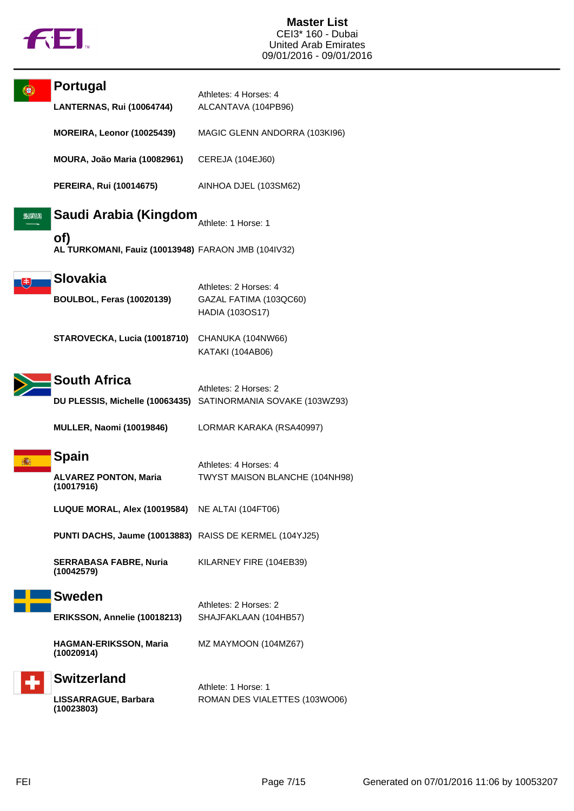

|     | Portugal<br><b>LANTERNAS, Rui (10064744)</b>               | Athletes: 4 Horses: 4<br>ALCANTAVA (104PB96)                       |
|-----|------------------------------------------------------------|--------------------------------------------------------------------|
|     | <b>MOREIRA, Leonor (10025439)</b>                          | MAGIC GLENN ANDORRA (103KI96)                                      |
|     | MOURA, João Maria (10082961)                               | CEREJA (104EJ60)                                                   |
|     | <b>PEREIRA, Rui (10014675)</b>                             | AINHOA DJEL (103SM62)                                              |
| 224 | Saudi Arabia (Kingdom                                      | Athlete: 1 Horse: 1                                                |
|     | of)<br>AL TURKOMANI, Fauiz (10013948) FARAON JMB (104IV32) |                                                                    |
|     | <b>Slovakia</b><br><b>BOULBOL, Feras (10020139)</b>        | Athletes: 2 Horses: 4<br>GAZAL FATIMA (103QC60)<br>HADIA (103OS17) |
|     | STAROVECKA, Lucia (10018710)                               | CHANUKA (104NW66)<br>KATAKI (104AB06)                              |
|     | <b>South Africa</b>                                        | Athletes: 2 Horses: 2                                              |
|     |                                                            | DU PLESSIS, Michelle (10063435) SATINORMANIA SOVAKE (103WZ93)      |
|     | <b>MULLER, Naomi (10019846)</b>                            | LORMAR KARAKA (RSA40997)                                           |
|     | <b>Spain</b><br><b>ALVAREZ PONTON, Maria</b><br>(10017916) | Athletes: 4 Horses: 4<br>TWYST MAISON BLANCHE (104NH98)            |
|     | LUQUE MORAL, Alex (10019584)                               | NE ALTAI (104FT06)                                                 |
|     | PUNTI DACHS, Jaume (10013883) RAISS DE KERMEL (104YJ25)    |                                                                    |
|     | <b>SERRABASA FABRE, Nuria</b><br>(10042579)                | KILARNEY FIRE (104EB39)                                            |
|     | <b>Sweden</b>                                              | Athletes: 2 Horses: 2                                              |
|     | ERIKSSON, Annelie (10018213)                               | SHAJFAKLAAN (104HB57)                                              |
|     | <b>HAGMAN-ERIKSSON, Maria</b><br>(10020914)                | MZ MAYMOON (104MZ67)                                               |
|     | <b>Switzerland</b>                                         | Athlete: 1 Horse: 1                                                |
|     | LISSARRAGUE, Barbara<br>(10023803)                         | ROMAN DES VIALETTES (103WO06)                                      |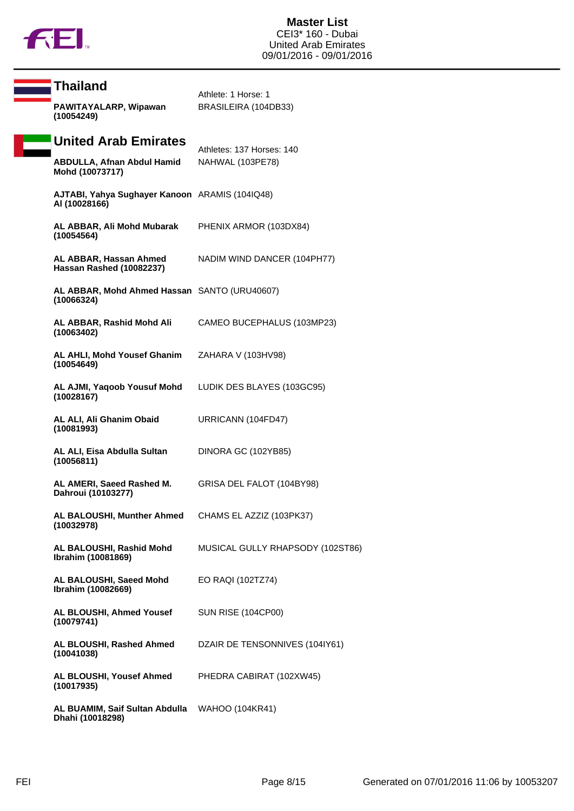

| <b>Thailand</b><br>PAWITAYALARP, Wipawan                        | Athlete: 1 Horse: 1<br>BRASILEIRA (104DB33)   |
|-----------------------------------------------------------------|-----------------------------------------------|
| (10054249)<br><b>United Arab Emirates</b>                       |                                               |
| <b>ABDULLA, Afnan Abdul Hamid</b><br>Mohd (10073717)            | Athletes: 137 Horses: 140<br>NAHWAL (103PE78) |
| AJTABI, Yahya Sughayer Kanoon ARAMIS (104IQ48)<br>AI (10028166) |                                               |
| AL ABBAR, Ali Mohd Mubarak<br>(10054564)                        | PHENIX ARMOR (103DX84)                        |
| AL ABBAR, Hassan Ahmed<br>Hassan Rashed (10082237)              | NADIM WIND DANCER (104PH77)                   |
| AL ABBAR, Mohd Ahmed Hassan SANTO (URU40607)<br>(10066324)      |                                               |
| AL ABBAR, Rashid Mohd Ali<br>(10063402)                         | CAMEO BUCEPHALUS (103MP23)                    |
| AL AHLI, Mohd Yousef Ghanim<br>(10054649)                       | ZAHARA V (103HV98)                            |
| AL AJMI, Yaqoob Yousuf Mohd<br>(10028167)                       | LUDIK DES BLAYES (103GC95)                    |
| AL ALI, Ali Ghanim Obaid<br>(10081993)                          | URRICANN (104FD47)                            |
| AL ALI, Eisa Abdulla Sultan<br>(10056811)                       | DINORA GC (102YB85)                           |
| AL AMERI, Saeed Rashed M.<br>Dahroui (10103277)                 | GRISA DEL FALOT (104BY98)                     |
| AL BALOUSHI, Munther Ahmed<br>(10032978)                        | CHAMS EL AZZIZ (103PK37)                      |
| AL BALOUSHI, Rashid Mohd<br>Ibrahim (10081869)                  | MUSICAL GULLY RHAPSODY (102ST86)              |
| AL BALOUSHI, Saeed Mohd<br>Ibrahim (10082669)                   | EO RAQI (102TZ74)                             |
| AL BLOUSHI, Ahmed Yousef<br>(10079741)                          | <b>SUN RISE (104CP00)</b>                     |
| AL BLOUSHI, Rashed Ahmed<br>(10041038)                          | DZAIR DE TENSONNIVES (104IY61)                |
| AL BLOUSHI, Yousef Ahmed<br>(10017935)                          | PHEDRA CABIRAT (102XW45)                      |
| AL BUAMIM, Saif Sultan Abdulla<br>Dhahi (10018298)              | WAHOO (104KR41)                               |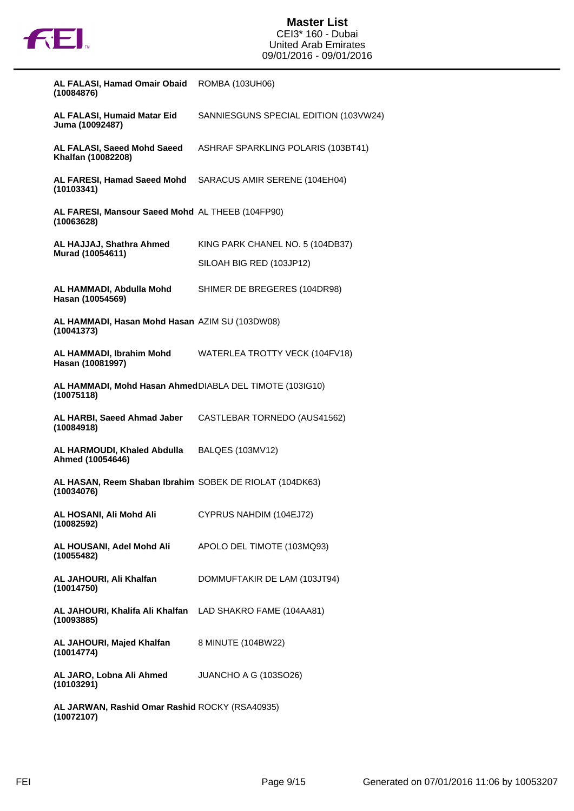

| AL FALASI, Hamad Omair Obaid<br>(10084876)                              | ROMBA (103UH06)                       |
|-------------------------------------------------------------------------|---------------------------------------|
| AL FALASI, Humaid Matar Eid<br>Juma (10092487)                          | SANNIESGUNS SPECIAL EDITION (103VW24) |
| AL FALASI, Saeed Mohd Saeed<br>Khalfan (10082208)                       | ASHRAF SPARKLING POLARIS (103BT41)    |
| AL FARESI, Hamad Saeed Mohd<br>(10103341)                               | SARACUS AMIR SERENE (104EH04)         |
| AL FARESI, Mansour Saeed Mohd AL THEEB (104FP90)<br>(10063628)          |                                       |
| AL HAJJAJ, Shathra Ahmed                                                | KING PARK CHANEL NO. 5 (104DB37)      |
| Murad (10054611)                                                        | SILOAH BIG RED (103JP12)              |
| AL HAMMADI, Abdulla Mohd<br>Hasan (10054569)                            | SHIMER DE BREGERES (104DR98)          |
| AL HAMMADI, Hasan Mohd Hasan AZIM SU (103DW08)<br>(10041373)            |                                       |
| AL HAMMADI, Ibrahim Mohd<br>Hasan (10081997)                            | WATERLEA TROTTY VECK (104FV18)        |
| AL HAMMADI, Mohd Hasan AhmedDIABLA DEL TIMOTE (103IG10)<br>(10075118)   |                                       |
| AL HARBI, Saeed Ahmad Jaber<br>(10084918)                               | CASTLEBAR TORNEDO (AUS41562)          |
| AL HARMOUDI, Khaled Abdulla BALQES (103MV12)<br>Ahmed (10054646)        |                                       |
| AL HASAN, Reem Shaban Ibrahim SOBEK DE RIOLAT (104DK63)<br>(10034076)   |                                       |
| AL HOSANI, Ali Mohd Ali<br>(10082592)                                   | CYPRUS NAHDIM (104EJ72)               |
| AL HOUSANI, Adel Mohd Ali<br>(10055482)                                 | APOLO DEL TIMOTE (103MQ93)            |
| AL JAHOURI, Ali Khalfan<br>(10014750)                                   | DOMMUFTAKIR DE LAM (103JT94)          |
| AL JAHOURI, Khalifa Ali Khalfan LAD SHAKRO FAME (104AA81)<br>(10093885) |                                       |
| AL JAHOURI, Majed Khalfan<br>(10014774)                                 | 8 MINUTE (104BW22)                    |
| AL JARO, Lobna Ali Ahmed JUANCHO A G (103SO26)<br>(10103291)            |                                       |
| AL JARWAN, Rashid Omar Rashid ROCKY (RSA40935)                          |                                       |

**(10072107)**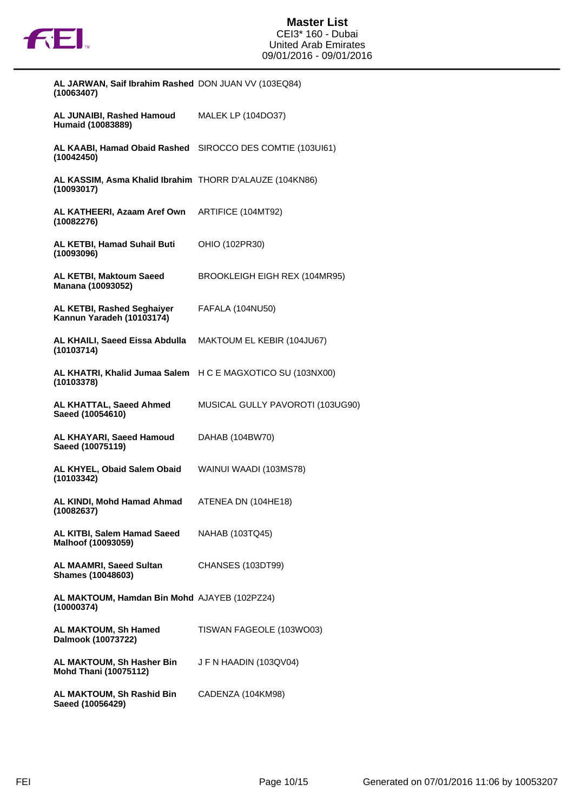

| AL JARWAN, Saif Ibrahim Rashed DON JUAN VV (103EQ84)<br>(10063407)       |                                  |
|--------------------------------------------------------------------------|----------------------------------|
| AL JUNAIBI, Rashed Hamoud<br>Humaid (10083889)                           | <b>MALEK LP (104DO37)</b>        |
| AL KAABI, Hamad Obaid Rashed<br>(10042450)                               | SIROCCO DES COMTIE (103UI61)     |
| AL KASSIM, Asma Khalid Ibrahim THORR D'ALAUZE (104KN86)<br>(10093017)    |                                  |
| AL KATHEERI, Azaam Aref Own<br>(10082276)                                | ARTIFICE (104MT92)               |
| AL KETBI, Hamad Suhail Buti<br>(10093096)                                | OHIO (102PR30)                   |
| AL KETBI, Maktoum Saeed<br>Manana (10093052)                             | BROOKLEIGH EIGH REX (104MR95)    |
| <b>AL KETBI, Rashed Seghaiyer</b><br>Kannun Yaradeh (10103174)           | <b>FAFALA (104NU50)</b>          |
| AL KHAILI, Saeed Eissa Abdulla<br>(10103714)                             | MAKTOUM EL KEBIR (104JU67)       |
| AL KHATRI, Khalid Jumaa Salem H C E MAGXOTICO SU (103NX00)<br>(10103378) |                                  |
| AL KHATTAL, Saeed Ahmed<br>Saeed (10054610)                              | MUSICAL GULLY PAVOROTI (103UG90) |
| AL KHAYARI, Saeed Hamoud<br>Saeed (10075119)                             | DAHAB (104BW70)                  |
| AL KHYEL, Obaid Salem Obaid<br>(10103342)                                | WAINUI WAADI (103MS78)           |
| AL KINDI, Mohd Hamad Ahmad<br>(10082637)                                 | ATENEA DN (104HE18)              |
| AL KITBI, Salem Hamad Saeed<br>Malhoof (10093059)                        | NAHAB (103TQ45)                  |
| <b>AL MAAMRI, Saeed Sultan</b><br><b>Shames (10048603)</b>               | CHANSES (103DT99)                |
| AL MAKTOUM, Hamdan Bin Mohd AJAYEB (102PZ24)<br>(10000374)               |                                  |
| AL MAKTOUM, Sh Hamed<br>Dalmook (10073722)                               | TISWAN FAGEOLE (103WO03)         |
| AL MAKTOUM, Sh Hasher Bin<br><b>Mohd Thani (10075112)</b>                | J F N HAADIN (103QV04)           |
| AL MAKTOUM, Sh Rashid Bin<br>Saeed (10056429)                            | CADENZA (104KM98)                |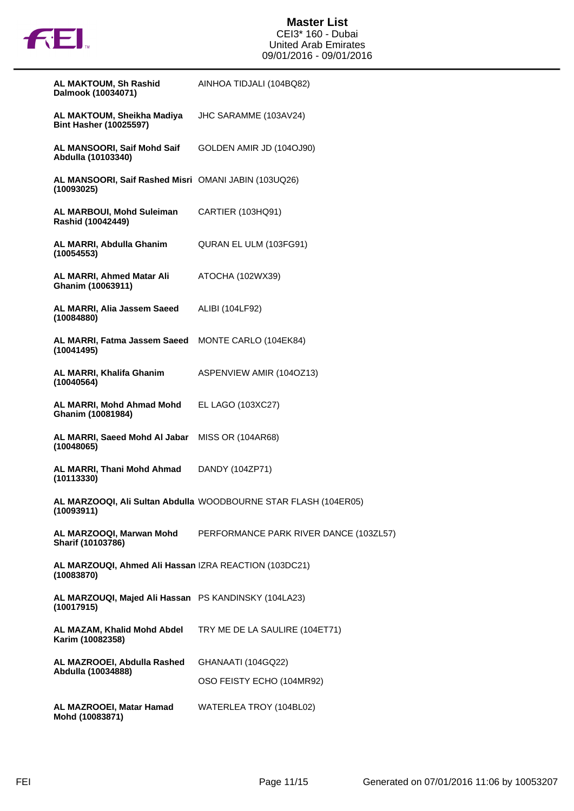

| <b>AL MAKTOUM, Sh Rashid</b><br>Dalmook (10034071)                  | AINHOA TIDJALI (104BQ82)                                        |
|---------------------------------------------------------------------|-----------------------------------------------------------------|
| AL MAKTOUM, Sheikha Madiya<br><b>Bint Hasher (10025597)</b>         | JHC SARAMME (103AV24)                                           |
| AL MANSOORI, Saif Mohd Saif<br>Abdulla (10103340)                   | GOLDEN AMIR JD (104OJ90)                                        |
| AL MANSOORI, Saif Rashed Misri OMANI JABIN (103UQ26)<br>(10093025)  |                                                                 |
| <b>AL MARBOUI, Mohd Suleiman</b><br>Rashid (10042449)               | CARTIER (103HQ91)                                               |
| AL MARRI, Abdulla Ghanim<br>(10054553)                              | QURAN EL ULM (103FG91)                                          |
| AL MARRI, Ahmed Matar Ali<br>Ghanim (10063911)                      | ATOCHA (102WX39)                                                |
| AL MARRI, Alia Jassem Saeed<br>(10084880)                           | ALIBI (104LF92)                                                 |
| AL MARRI, Fatma Jassem Saeed<br>(10041495)                          | MONTE CARLO (104EK84)                                           |
| AL MARRI, Khalifa Ghanim<br>(10040564)                              | ASPENVIEW AMIR (1040Z13)                                        |
| AL MARRI, Mohd Ahmad Mohd<br>Ghanim (10081984)                      | EL LAGO (103XC27)                                               |
| AL MARRI, Saeed Mohd Al Jabar<br>(10048065)                         | MISS OR (104AR68)                                               |
| AL MARRI, Thani Mohd Ahmad<br>(10113330)                            | DANDY (104ZP71)                                                 |
| (10093911)                                                          | AL MARZOOQI, Ali Sultan Abdulla WOODBOURNE STAR FLASH (104ER05) |
| AL MARZOOQI, Marwan Mohd<br>Sharif (10103786)                       | PERFORMANCE PARK RIVER DANCE (103ZL57)                          |
| AL MARZOUQI, Ahmed Ali Hassan IZRA REACTION (103DC21)<br>(10083870) |                                                                 |
| AL MARZOUQI, Majed Ali Hassan PS KANDINSKY (104LA23)<br>(10017915)  |                                                                 |
| AL MAZAM, Khalid Mohd Abdel<br>Karim (10082358)                     | TRY ME DE LA SAULIRE (104ET71)                                  |
| AL MAZROOEI, Abdulla Rashed<br>Abdulla (10034888)                   | GHANAATI (104GQ22)                                              |
|                                                                     | OSO FEISTY ECHO (104MR92)                                       |
| AL MAZROOEI, Matar Hamad<br>Mohd (10083871)                         | WATERLEA TROY (104BL02)                                         |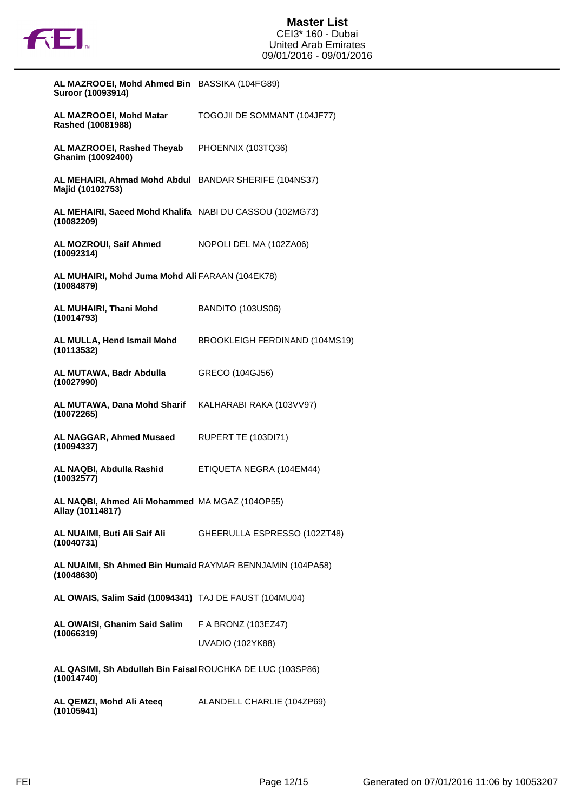

| AL MAZROOEI, Mohd Ahmed Bin BASSIKA (104FG89)<br>Suroor (10093914)        |                                                           |
|---------------------------------------------------------------------------|-----------------------------------------------------------|
| AL MAZROOEI, Mohd Matar<br>Rashed (10081988)                              | TOGOJII DE SOMMANT (104JF77)                              |
| AL MAZROOEI, Rashed Theyab PHOENNIX (103TQ36)<br>Ghanim (10092400)        |                                                           |
| AL MEHAIRI, Ahmad Mohd Abdul BANDAR SHERIFE (104NS37)<br>Majid (10102753) |                                                           |
| AL MEHAIRI, Saeed Mohd Khalifa NABI DU CASSOU (102MG73)<br>(10082209)     |                                                           |
| AL MOZROUI, Saif Ahmed<br>(10092314)                                      | NOPOLI DEL MA (102ZA06)                                   |
| AL MUHAIRI, Mohd Juma Mohd Ali FARAAN (104EK78)<br>(10084879)             |                                                           |
| AL MUHAIRI, Thani Mohd<br>(10014793)                                      | <b>BANDITO (103US06)</b>                                  |
| AL MULLA, Hend Ismail Mohd<br>(10113532)                                  | BROOKLEIGH FERDINAND (104MS19)                            |
| AL MUTAWA, Badr Abdulla<br>(10027990)                                     | GRECO (104GJ56)                                           |
| AL MUTAWA, Dana Mohd Sharif KALHARABI RAKA (103VV97)<br>(10072265)        |                                                           |
| AL NAGGAR, Ahmed Musaed<br>(10094337)                                     | RUPERT TE (103DI71)                                       |
| AL NAQBI, Abdulla Rashid<br>(10032577)                                    | ETIQUETA NEGRA (104EM44)                                  |
| AL NAQBI, Ahmed Ali Mohammed MA MGAZ (104OP55)<br>Allay (10114817)        |                                                           |
| (10040731)                                                                | AL NUAIMI, Buti Ali Saif Ali GHEERULLA ESPRESSO (102ZT48) |
| AL NUAIMI, Sh Ahmed Bin Humaid RAYMAR BENNJAMIN (104PA58)<br>(10048630)   |                                                           |
| AL OWAIS, Salim Said (10094341) TAJ DE FAUST (104MU04)                    |                                                           |
| AL OWAISI, Ghanim Said Salim F A BRONZ (103EZ47)<br>(10066319)            | <b>UVADIO (102YK88)</b>                                   |
| AL QASIMI, Sh Abdullah Bin Faisal ROUCHKA DE LUC (103SP86)<br>(10014740)  |                                                           |
| AL QEMZI, Mohd Ali Ateeq ALANDELL CHARLIE (104ZP69)<br>(10105941)         |                                                           |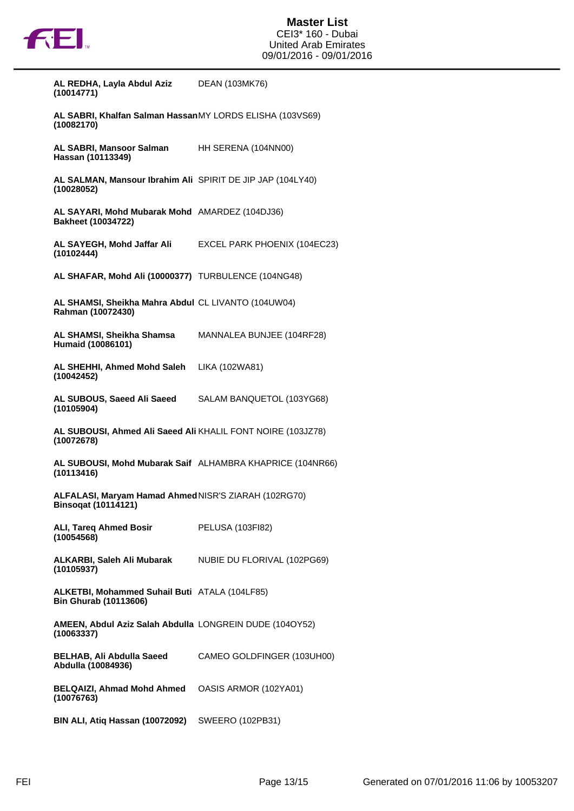

**(10014771)**

**AL REDHA, Layla Abdul Aziz**

| AL SABRI, Khalfan Salman HassanMY LORDS ELISHA (103VS69)<br>(10082170)             |                              |
|------------------------------------------------------------------------------------|------------------------------|
| AL SABRI, Mansoor Salman<br>Hassan (10113349)                                      | HH SERENA (104NN00)          |
| AL SALMAN, Mansour Ibrahim Ali SPIRIT DE JIP JAP (104LY40)<br>(10028052)           |                              |
| AL SAYARI, Mohd Mubarak Mohd AMARDEZ (104DJ36)<br><b>Bakheet (10034722)</b>        |                              |
| AL SAYEGH, Mohd Jaffar Ali<br>(10102444)                                           | EXCEL PARK PHOENIX (104EC23) |
| AL SHAFAR, Mohd Ali (10000377) TURBULENCE (104NG48)                                |                              |
| AL SHAMSI, Sheikha Mahra Abdul CL LIVANTO (104UW04)<br>Rahman (10072430)           |                              |
| AL SHAMSI, Sheikha Shamsa<br>Humaid (10086101)                                     | MANNALEA BUNJEE (104RF28)    |
| AL SHEHHI, Ahmed Mohd Saleh<br>(10042452)                                          | LIKA (102WA81)               |
| AL SUBOUS, Saeed Ali Saeed<br>(10105904)                                           | SALAM BANQUETOL (103YG68)    |
| AL SUBOUSI, Ahmed Ali Saeed Ali KHALIL FONT NOIRE (103JZ78)<br>(10072678)          |                              |
| AL SUBOUSI, Mohd Mubarak Saif ALHAMBRA KHAPRICE (104NR66)<br>(10113416)            |                              |
| ALFALASI, Maryam Hamad Ahmed NISR'S ZIARAH (102RG70)<br><b>Binsoqat (10114121)</b> |                              |
| <b>ALI, Tareq Ahmed Bosir</b><br>(10054568)                                        | PELUSA (103FI82)             |
| ALKARBI, Saleh Ali Mubarak<br>(10105937)                                           | NUBIE DU FLORIVAL (102PG69)  |
| ALKETBI, Mohammed Suhail Buti ATALA (104LF85)<br><b>Bin Ghurab (10113606)</b>      |                              |
| AMEEN, Abdul Aziz Salah Abdulla LONGREIN DUDE (104OY52)<br>(10063337)              |                              |
| <b>BELHAB, Ali Abdulla Saeed</b><br>Abdulla (10084936)                             | CAMEO GOLDFINGER (103UH00)   |
| <b>BELQAIZI, Ahmad Mohd Ahmed</b><br>(10076763)                                    | OASIS ARMOR (102YA01)        |
| BIN ALI, Atiq Hassan (10072092)                                                    | SWEERO (102PB31)             |

DEAN (103MK76)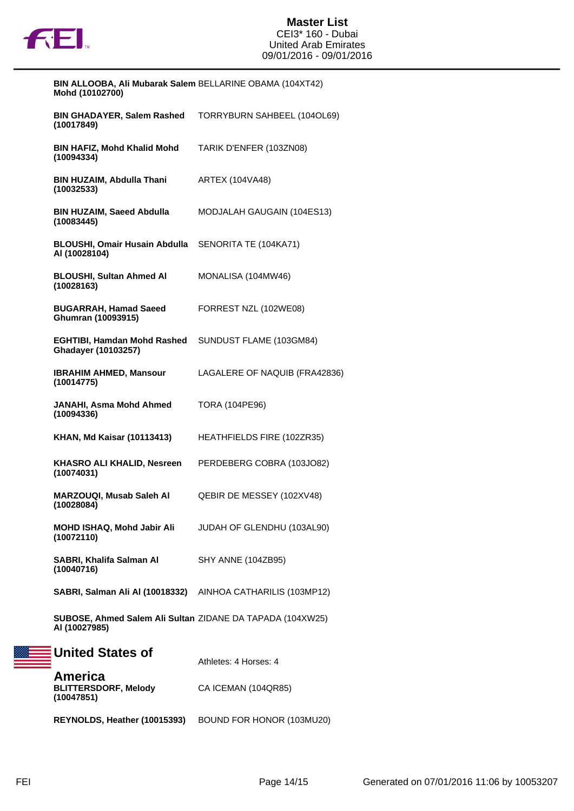

| BIN ALLOOBA, Ali Mubarak Salem BELLARINE OBAMA (104XT42)<br>Mohd (10102700) |                               |
|-----------------------------------------------------------------------------|-------------------------------|
| <b>BIN GHADAYER, Salem Rashed</b><br>(10017849)                             | TORRYBURN SAHBEEL (104OL69)   |
| <b>BIN HAFIZ, Mohd Khalid Mohd</b><br>(10094334)                            | TARIK D'ENFER (103ZN08)       |
| <b>BIN HUZAIM, Abdulla Thani</b><br>(10032533)                              | <b>ARTEX (104VA48)</b>        |
| <b>BIN HUZAIM, Saeed Abdulla</b><br>(10083445)                              | MODJALAH GAUGAIN (104ES13)    |
| <b>BLOUSHI, Omair Husain Abdulla</b><br>AI (10028104)                       | SENORITA TE (104KA71)         |
| <b>BLOUSHI, Sultan Ahmed AI</b><br>(10028163)                               | MONALISA (104MW46)            |
| <b>BUGARRAH, Hamad Saeed</b><br>Ghumran (10093915)                          | FORREST NZL (102WE08)         |
| <b>EGHTIBI, Hamdan Mohd Rashed</b><br>Ghadayer (10103257)                   | SUNDUST FLAME (103GM84)       |
| <b>IBRAHIM AHMED, Mansour</b><br>(10014775)                                 | LAGALERE OF NAQUIB (FRA42836) |
| JANAHI, Asma Mohd Ahmed<br>(10094336)                                       | <b>TORA (104PE96)</b>         |
| <b>KHAN, Md Kaisar (10113413)</b>                                           | HEATHFIELDS FIRE (102ZR35)    |
| <b>KHASRO ALI KHALID, Nesreen</b><br>(10074031)                             | PERDEBERG COBRA (103JO82)     |
| <b>MARZOUQI, Musab Saleh AI</b><br>(10028084)                               | QEBIR DE MESSEY (102XV48)     |
| MOHD ISHAQ, Mohd Jabir Ali<br>(10072110)                                    | JUDAH OF GLENDHU (103AL90)    |
| SABRI, Khalifa Salman Al<br>(10040716)                                      | SHY ANNE (104ZB95)            |
| SABRI, Salman Ali AI (10018332) AINHOA CATHARILIS (103MP12)                 |                               |
| SUBOSE, Ahmed Salem Ali Sultan ZIDANE DA TAPADA (104XW25)<br>AI (10027985)  |                               |
| <b>United States of</b>                                                     | Athletes: 4 Horses: 4         |
| America<br><b>BLITTERSDORF, Melody</b><br>(10047851)                        | CA ICEMAN (104QR85)           |
| REYNOLDS, Heather (10015393)                                                | BOUND FOR HONOR (103MU20)     |